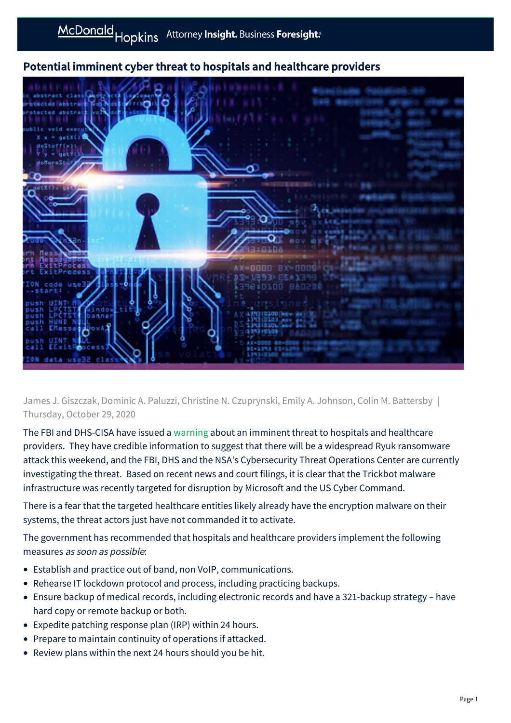## Potential imminent cyber threat to hospitals and healthcare providers



James J. Giszczak, Dominic A. Paluzzi, Christine N. Czuprynski, Emily A. Johnson, Colin M. Battersby | Thursday, October 29, 2020

The FBI and DHS-CISA have issued a [warning](https://us-cert.cisa.gov/ncas/alerts/aa20-302a) about an imminent threat to hospitals and healthcare providers. They have credible information to suggest that there will be a widespread Ryuk ransomware attack this weekend, and the FBI, DHS and the NSA's Cybersecurity Threat Operations Center are currently investigating the threat. Based on recent news and court filings, it is clear that the Trickbot malware infrastructure was recently targeted for disruption by Microsoft and the US Cyber Command.

There is a fear that the targeted healthcare entities likely already have the encryption malware on their systems, the threat actors just have not commanded it to activate.

The government has recommended that hospitals and healthcare providers implement the following measures as soon as possible:

- Establish and practice out of band, non VoIP, communications.
- Rehearse IT lockdown protocol and process, including practicing backups.
- Ensure backup of medical records, including electronic records and have a 321-backup strategy have hard copy or remote backup or both.
- Expedite patching response plan (IRP) within 24 hours.
- Prepare to maintain continuity of operations if attacked.
- Review plans within the next 24 hours should you be hit.